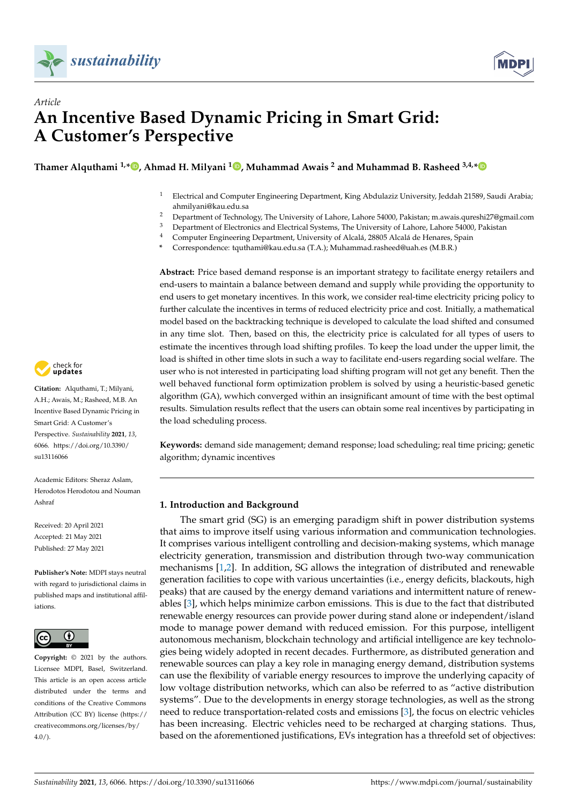



# *Article* **An Incentive Based Dynamic Pricing in Smart Grid: A Customer's Perspective**

**Thamer Alquthami 1,[\\*](https://orcid.org/0000-0002-3686-0817) , Ahmad H. Milyani [1](https://orcid.org/0000-0002-1926-9486) , Muhammad Awais <sup>2</sup> and Muhammad B. Rasheed 3,4,[\\*](https://orcid.org/0000-0002-9911-0693)**

- <sup>1</sup> Electrical and Computer Engineering Department, King Abdulaziz University, Jeddah 21589, Saudi Arabia; ahmilyani@kau.edu.sa
- <sup>2</sup> Department of Technology, The University of Lahore, Lahore 54000, Pakistan; m.awais.qureshi27@gmail.com<br><sup>3</sup> Department of Electronics and Electrical Systems. The University of Labore, Labore 54000, Pakistan
- <sup>3</sup> Department of Electronics and Electrical Systems, The University of Lahore, Lahore 54000, Pakistan  $\frac{4}{1}$  Computer Engineering Department University of Alcalá 28805 Alcalá de Hanares, Spain
- <sup>4</sup> Computer Engineering Department, University of Alcalá, 28805 Alcalá de Henares, Spain
- **\*** Correspondence: tquthami@kau.edu.sa (T.A.); Muhammad.rasheed@uah.es (M.B.R.)

**Abstract:** Price based demand response is an important strategy to facilitate energy retailers and end-users to maintain a balance between demand and supply while providing the opportunity to end users to get monetary incentives. In this work, we consider real-time electricity pricing policy to further calculate the incentives in terms of reduced electricity price and cost. Initially, a mathematical model based on the backtracking technique is developed to calculate the load shifted and consumed in any time slot. Then, based on this, the electricity price is calculated for all types of users to estimate the incentives through load shifting profiles. To keep the load under the upper limit, the load is shifted in other time slots in such a way to facilitate end-users regarding social welfare. The user who is not interested in participating load shifting program will not get any benefit. Then the well behaved functional form optimization problem is solved by using a heuristic-based genetic algorithm (GA), wwhich converged within an insignificant amount of time with the best optimal results. Simulation results reflect that the users can obtain some real incentives by participating in the load scheduling process.

**Keywords:** demand side management; demand response; load scheduling; real time pricing; genetic algorithm; dynamic incentives

# **1. Introduction and Background**

The smart grid (SG) is an emerging paradigm shift in power distribution systems that aims to improve itself using various information and communication technologies. It comprises various intelligent controlling and decision-making systems, which manage electricity generation, transmission and distribution through two-way communication mechanisms [\[1,](#page-14-0)[2\]](#page-14-1). In addition, SG allows the integration of distributed and renewable generation facilities to cope with various uncertainties (i.e., energy deficits, blackouts, high peaks) that are caused by the energy demand variations and intermittent nature of renewables [\[3\]](#page-14-2), which helps minimize carbon emissions. This is due to the fact that distributed renewable energy resources can provide power during stand alone or independent/island mode to manage power demand with reduced emission. For this purpose, intelligent autonomous mechanism, blockchain technology and artificial intelligence are key technologies being widely adopted in recent decades. Furthermore, as distributed generation and renewable sources can play a key role in managing energy demand, distribution systems can use the flexibility of variable energy resources to improve the underlying capacity of low voltage distribution networks, which can also be referred to as "active distribution systems". Due to the developments in energy storage technologies, as well as the strong need to reduce transportation-related costs and emissions [\[3\]](#page-14-2), the focus on electric vehicles has been increasing. Electric vehicles need to be recharged at charging stations. Thus, based on the aforementioned justifications, EVs integration has a threefold set of objectives:



**Citation:** Alquthami, T.; Milyani, A.H.; Awais, M.; Rasheed, M.B. An Incentive Based Dynamic Pricing in Smart Grid: A Customer's Perspective. *Sustainability* **2021**, *13*, 6066. [https://doi.org/10.3390/](https://doi.org/10.3390/su13116066) [su13116066](https://doi.org/10.3390/su13116066)

Academic Editors: Sheraz Aslam, Herodotos Herodotou and Nouman Ashraf

Received: 20 April 2021 Accepted: 21 May 2021 Published: 27 May 2021

**Publisher's Note:** MDPI stays neutral with regard to jurisdictional claims in published maps and institutional affiliations.



**Copyright:** © 2021 by the authors. Licensee MDPI, Basel, Switzerland. This article is an open access article distributed under the terms and conditions of the Creative Commons Attribution (CC BY) license (https:/[/](https://creativecommons.org/licenses/by/4.0/) [creativecommons.org/licenses/by/](https://creativecommons.org/licenses/by/4.0/)  $4.0/$ ).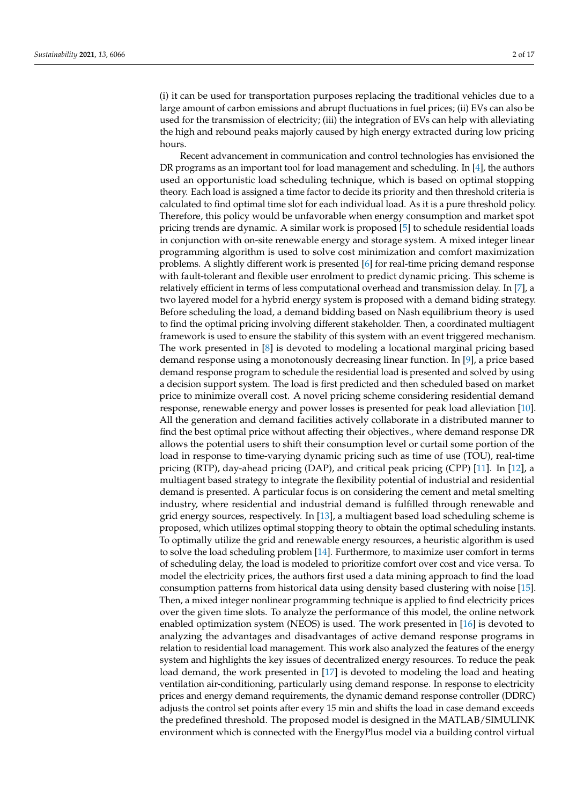(i) it can be used for transportation purposes replacing the traditional vehicles due to a large amount of carbon emissions and abrupt fluctuations in fuel prices; (ii) EVs can also be used for the transmission of electricity; (iii) the integration of EVs can help with alleviating the high and rebound peaks majorly caused by high energy extracted during low pricing hours.

Recent advancement in communication and control technologies has envisioned the DR programs as an important tool for load management and scheduling. In [\[4\]](#page-14-3), the authors used an opportunistic load scheduling technique, which is based on optimal stopping theory. Each load is assigned a time factor to decide its priority and then threshold criteria is calculated to find optimal time slot for each individual load. As it is a pure threshold policy. Therefore, this policy would be unfavorable when energy consumption and market spot pricing trends are dynamic. A similar work is proposed [\[5\]](#page-14-4) to schedule residential loads in conjunction with on-site renewable energy and storage system. A mixed integer linear programming algorithm is used to solve cost minimization and comfort maximization problems. A slightly different work is presented [\[6\]](#page-14-5) for real-time pricing demand response with fault-tolerant and flexible user enrolment to predict dynamic pricing. This scheme is relatively efficient in terms of less computational overhead and transmission delay. In [\[7\]](#page-14-6), a two layered model for a hybrid energy system is proposed with a demand biding strategy. Before scheduling the load, a demand bidding based on Nash equilibrium theory is used to find the optimal pricing involving different stakeholder. Then, a coordinated multiagent framework is used to ensure the stability of this system with an event triggered mechanism. The work presented in [\[8\]](#page-14-7) is devoted to modeling a locational marginal pricing based demand response using a monotonously decreasing linear function. In [\[9\]](#page-14-8), a price based demand response program to schedule the residential load is presented and solved by using a decision support system. The load is first predicted and then scheduled based on market price to minimize overall cost. A novel pricing scheme considering residential demand response, renewable energy and power losses is presented for peak load alleviation [\[10\]](#page-15-0). All the generation and demand facilities actively collaborate in a distributed manner to find the best optimal price without affecting their objectives., where demand response DR allows the potential users to shift their consumption level or curtail some portion of the load in response to time-varying dynamic pricing such as time of use (TOU), real-time pricing (RTP), day-ahead pricing (DAP), and critical peak pricing (CPP) [\[11\]](#page-15-1). In [\[12\]](#page-15-2), a multiagent based strategy to integrate the flexibility potential of industrial and residential demand is presented. A particular focus is on considering the cement and metal smelting industry, where residential and industrial demand is fulfilled through renewable and grid energy sources, respectively. In [\[13\]](#page-15-3), a multiagent based load scheduling scheme is proposed, which utilizes optimal stopping theory to obtain the optimal scheduling instants. To optimally utilize the grid and renewable energy resources, a heuristic algorithm is used to solve the load scheduling problem [\[14\]](#page-15-4). Furthermore, to maximize user comfort in terms of scheduling delay, the load is modeled to prioritize comfort over cost and vice versa. To model the electricity prices, the authors first used a data mining approach to find the load consumption patterns from historical data using density based clustering with noise [\[15\]](#page-15-5). Then, a mixed integer nonlinear programming technique is applied to find electricity prices over the given time slots. To analyze the performance of this model, the online network enabled optimization system (NEOS) is used. The work presented in [\[16\]](#page-15-6) is devoted to analyzing the advantages and disadvantages of active demand response programs in relation to residential load management. This work also analyzed the features of the energy system and highlights the key issues of decentralized energy resources. To reduce the peak load demand, the work presented in [\[17\]](#page-15-7) is devoted to modeling the load and heating ventilation air-conditioning, particularly using demand response. In response to electricity prices and energy demand requirements, the dynamic demand response controller (DDRC) adjusts the control set points after every 15 min and shifts the load in case demand exceeds the predefined threshold. The proposed model is designed in the MATLAB/SIMULINK environment which is connected with the EnergyPlus model via a building control virtual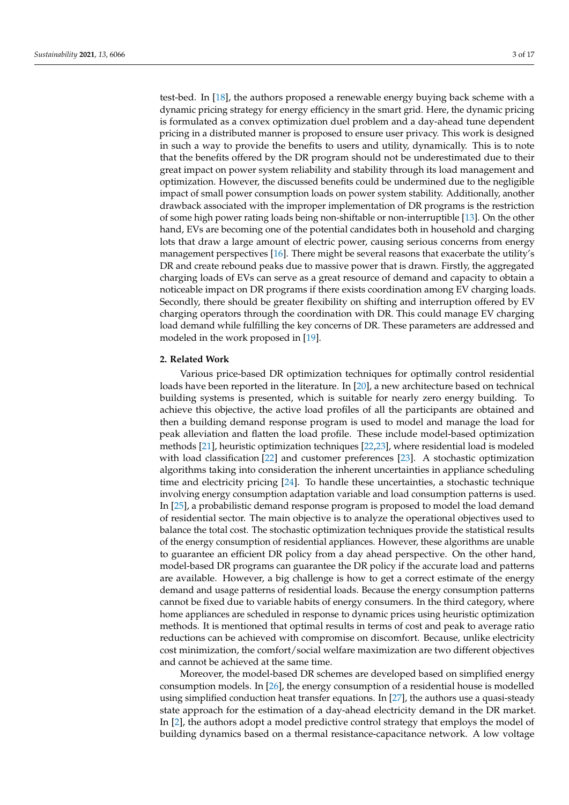test-bed. In [\[18\]](#page-15-8), the authors proposed a renewable energy buying back scheme with a dynamic pricing strategy for energy efficiency in the smart grid. Here, the dynamic pricing is formulated as a convex optimization duel problem and a day-ahead tune dependent pricing in a distributed manner is proposed to ensure user privacy. This work is designed in such a way to provide the benefits to users and utility, dynamically. This is to note that the benefits offered by the DR program should not be underestimated due to their great impact on power system reliability and stability through its load management and optimization. However, the discussed benefits could be undermined due to the negligible impact of small power consumption loads on power system stability. Additionally, another drawback associated with the improper implementation of DR programs is the restriction of some high power rating loads being non-shiftable or non-interruptible [\[13\]](#page-15-3). On the other hand, EVs are becoming one of the potential candidates both in household and charging lots that draw a large amount of electric power, causing serious concerns from energy management perspectives [\[16\]](#page-15-6). There might be several reasons that exacerbate the utility's DR and create rebound peaks due to massive power that is drawn. Firstly, the aggregated charging loads of EVs can serve as a great resource of demand and capacity to obtain a noticeable impact on DR programs if there exists coordination among EV charging loads. Secondly, there should be greater flexibility on shifting and interruption offered by EV charging operators through the coordination with DR. This could manage EV charging load demand while fulfilling the key concerns of DR. These parameters are addressed and modeled in the work proposed in [\[19\]](#page-15-9).

# **2. Related Work**

Various price-based DR optimization techniques for optimally control residential loads have been reported in the literature. In [\[20\]](#page-15-10), a new architecture based on technical building systems is presented, which is suitable for nearly zero energy building. To achieve this objective, the active load profiles of all the participants are obtained and then a building demand response program is used to model and manage the load for peak alleviation and flatten the load profile. These include model-based optimization methods [\[21\]](#page-15-11), heuristic optimization techniques [\[22,](#page-15-12)[23\]](#page-15-13), where residential load is modeled with load classification [\[22\]](#page-15-12) and customer preferences [\[23\]](#page-15-13). A stochastic optimization algorithms taking into consideration the inherent uncertainties in appliance scheduling time and electricity pricing [\[24\]](#page-15-14). To handle these uncertainties, a stochastic technique involving energy consumption adaptation variable and load consumption patterns is used. In [\[25\]](#page-15-15), a probabilistic demand response program is proposed to model the load demand of residential sector. The main objective is to analyze the operational objectives used to balance the total cost. The stochastic optimization techniques provide the statistical results of the energy consumption of residential appliances. However, these algorithms are unable to guarantee an efficient DR policy from a day ahead perspective. On the other hand, model-based DR programs can guarantee the DR policy if the accurate load and patterns are available. However, a big challenge is how to get a correct estimate of the energy demand and usage patterns of residential loads. Because the energy consumption patterns cannot be fixed due to variable habits of energy consumers. In the third category, where home appliances are scheduled in response to dynamic prices using heuristic optimization methods. It is mentioned that optimal results in terms of cost and peak to average ratio reductions can be achieved with compromise on discomfort. Because, unlike electricity cost minimization, the comfort/social welfare maximization are two different objectives and cannot be achieved at the same time.

Moreover, the model-based DR schemes are developed based on simplified energy consumption models. In [\[26\]](#page-15-16), the energy consumption of a residential house is modelled using simplified conduction heat transfer equations. In [\[27\]](#page-15-17), the authors use a quasi-steady state approach for the estimation of a day-ahead electricity demand in the DR market. In [\[2\]](#page-14-1), the authors adopt a model predictive control strategy that employs the model of building dynamics based on a thermal resistance-capacitance network. A low voltage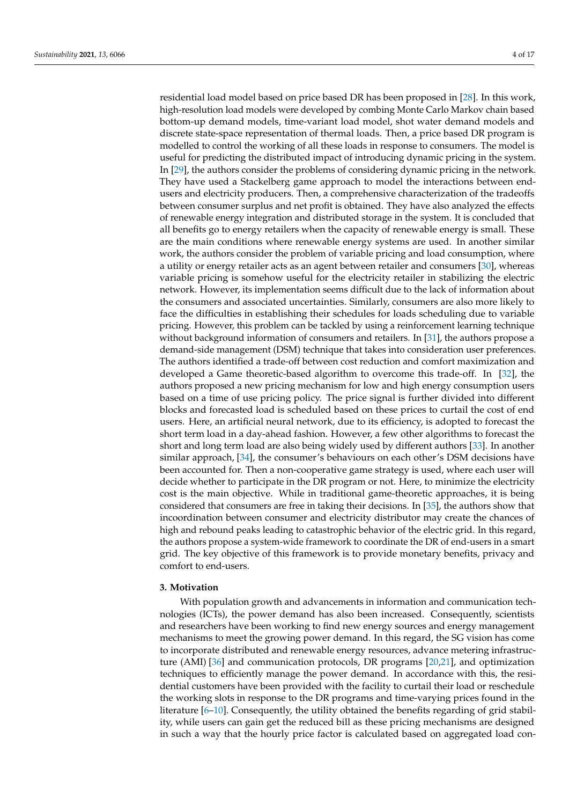residential load model based on price based DR has been proposed in [\[28\]](#page-15-18). In this work, high-resolution load models were developed by combing Monte Carlo Markov chain based bottom-up demand models, time-variant load model, shot water demand models and discrete state-space representation of thermal loads. Then, a price based DR program is modelled to control the working of all these loads in response to consumers. The model is useful for predicting the distributed impact of introducing dynamic pricing in the system. In [\[29\]](#page-15-19), the authors consider the problems of considering dynamic pricing in the network. They have used a Stackelberg game approach to model the interactions between endusers and electricity producers. Then, a comprehensive characterization of the tradeoffs between consumer surplus and net profit is obtained. They have also analyzed the effects of renewable energy integration and distributed storage in the system. It is concluded that all benefits go to energy retailers when the capacity of renewable energy is small. These are the main conditions where renewable energy systems are used. In another similar work, the authors consider the problem of variable pricing and load consumption, where a utility or energy retailer acts as an agent between retailer and consumers [\[30\]](#page-15-20), whereas variable pricing is somehow useful for the electricity retailer in stabilizing the electric network. However, its implementation seems difficult due to the lack of information about the consumers and associated uncertainties. Similarly, consumers are also more likely to face the difficulties in establishing their schedules for loads scheduling due to variable pricing. However, this problem can be tackled by using a reinforcement learning technique without background information of consumers and retailers. In [\[31\]](#page-15-21), the authors propose a demand-side management (DSM) technique that takes into consideration user preferences. The authors identified a trade-off between cost reduction and comfort maximization and developed a Game theoretic-based algorithm to overcome this trade-off. In [\[32\]](#page-15-22), the authors proposed a new pricing mechanism for low and high energy consumption users based on a time of use pricing policy. The price signal is further divided into different blocks and forecasted load is scheduled based on these prices to curtail the cost of end users. Here, an artificial neural network, due to its efficiency, is adopted to forecast the short term load in a day-ahead fashion. However, a few other algorithms to forecast the short and long term load are also being widely used by different authors [\[33\]](#page-15-23). In another similar approach, [\[34\]](#page-15-24), the consumer's behaviours on each other's DSM decisions have been accounted for. Then a non-cooperative game strategy is used, where each user will decide whether to participate in the DR program or not. Here, to minimize the electricity cost is the main objective. While in traditional game-theoretic approaches, it is being considered that consumers are free in taking their decisions. In [\[35\]](#page-15-25), the authors show that incoordination between consumer and electricity distributor may create the chances of high and rebound peaks leading to catastrophic behavior of the electric grid. In this regard, the authors propose a system-wide framework to coordinate the DR of end-users in a smart grid. The key objective of this framework is to provide monetary benefits, privacy and comfort to end-users.

#### **3. Motivation**

With population growth and advancements in information and communication technologies (ICTs), the power demand has also been increased. Consequently, scientists and researchers have been working to find new energy sources and energy management mechanisms to meet the growing power demand. In this regard, the SG vision has come to incorporate distributed and renewable energy resources, advance metering infrastructure (AMI) [\[36\]](#page-15-26) and communication protocols, DR programs [\[20](#page-15-10)[,21\]](#page-15-11), and optimization techniques to efficiently manage the power demand. In accordance with this, the residential customers have been provided with the facility to curtail their load or reschedule the working slots in response to the DR programs and time-varying prices found in the literature [\[6–](#page-14-5)[10\]](#page-15-0). Consequently, the utility obtained the benefits regarding of grid stability, while users can gain get the reduced bill as these pricing mechanisms are designed in such a way that the hourly price factor is calculated based on aggregated load con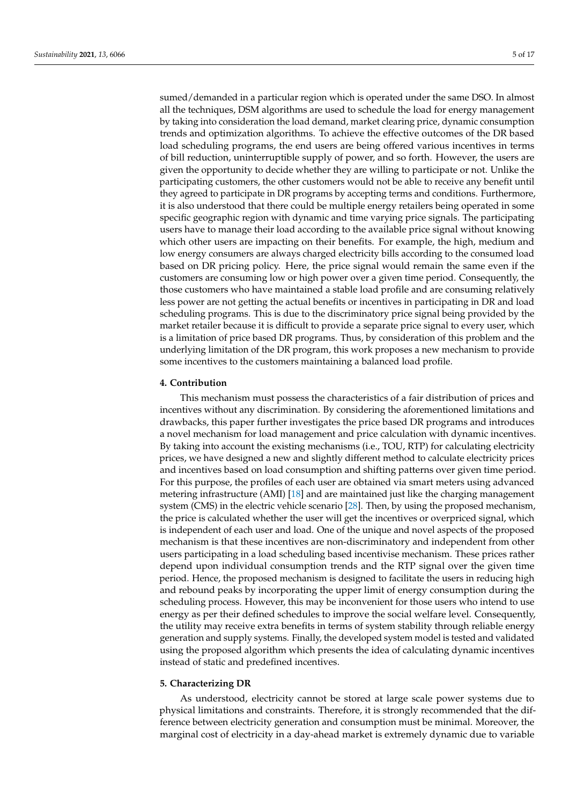sumed/demanded in a particular region which is operated under the same DSO. In almost all the techniques, DSM algorithms are used to schedule the load for energy management by taking into consideration the load demand, market clearing price, dynamic consumption trends and optimization algorithms. To achieve the effective outcomes of the DR based load scheduling programs, the end users are being offered various incentives in terms of bill reduction, uninterruptible supply of power, and so forth. However, the users are given the opportunity to decide whether they are willing to participate or not. Unlike the participating customers, the other customers would not be able to receive any benefit until they agreed to participate in DR programs by accepting terms and conditions. Furthermore, it is also understood that there could be multiple energy retailers being operated in some specific geographic region with dynamic and time varying price signals. The participating users have to manage their load according to the available price signal without knowing which other users are impacting on their benefits. For example, the high, medium and low energy consumers are always charged electricity bills according to the consumed load based on DR pricing policy. Here, the price signal would remain the same even if the customers are consuming low or high power over a given time period. Consequently, the those customers who have maintained a stable load profile and are consuming relatively less power are not getting the actual benefits or incentives in participating in DR and load scheduling programs. This is due to the discriminatory price signal being provided by the market retailer because it is difficult to provide a separate price signal to every user, which is a limitation of price based DR programs. Thus, by consideration of this problem and the underlying limitation of the DR program, this work proposes a new mechanism to provide some incentives to the customers maintaining a balanced load profile.

# **4. Contribution**

This mechanism must possess the characteristics of a fair distribution of prices and incentives without any discrimination. By considering the aforementioned limitations and drawbacks, this paper further investigates the price based DR programs and introduces a novel mechanism for load management and price calculation with dynamic incentives. By taking into account the existing mechanisms (i.e., TOU, RTP) for calculating electricity prices, we have designed a new and slightly different method to calculate electricity prices and incentives based on load consumption and shifting patterns over given time period. For this purpose, the profiles of each user are obtained via smart meters using advanced metering infrastructure (AMI) [\[18\]](#page-15-8) and are maintained just like the charging management system (CMS) in the electric vehicle scenario [\[28\]](#page-15-18). Then, by using the proposed mechanism, the price is calculated whether the user will get the incentives or overpriced signal, which is independent of each user and load. One of the unique and novel aspects of the proposed mechanism is that these incentives are non-discriminatory and independent from other users participating in a load scheduling based incentivise mechanism. These prices rather depend upon individual consumption trends and the RTP signal over the given time period. Hence, the proposed mechanism is designed to facilitate the users in reducing high and rebound peaks by incorporating the upper limit of energy consumption during the scheduling process. However, this may be inconvenient for those users who intend to use energy as per their defined schedules to improve the social welfare level. Consequently, the utility may receive extra benefits in terms of system stability through reliable energy generation and supply systems. Finally, the developed system model is tested and validated using the proposed algorithm which presents the idea of calculating dynamic incentives instead of static and predefined incentives.

# **5. Characterizing DR**

As understood, electricity cannot be stored at large scale power systems due to physical limitations and constraints. Therefore, it is strongly recommended that the difference between electricity generation and consumption must be minimal. Moreover, the marginal cost of electricity in a day-ahead market is extremely dynamic due to variable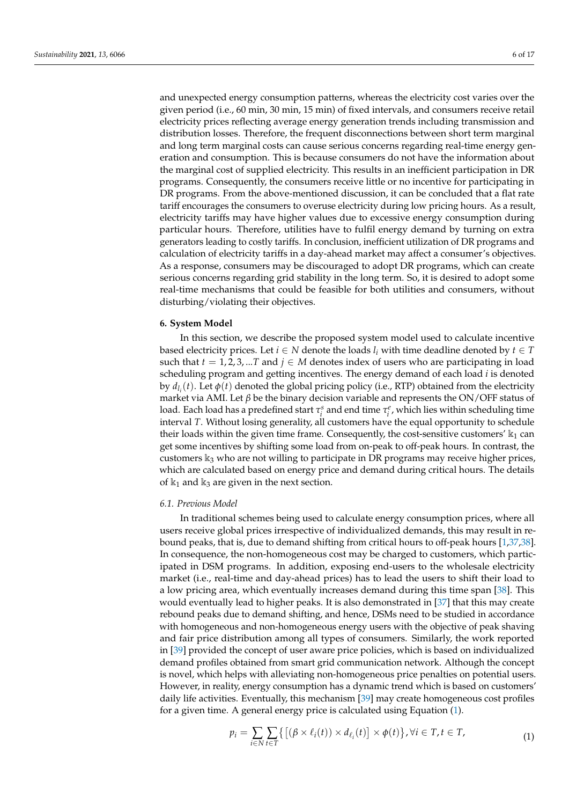and unexpected energy consumption patterns, whereas the electricity cost varies over the given period (i.e., 60 min, 30 min, 15 min) of fixed intervals, and consumers receive retail electricity prices reflecting average energy generation trends including transmission and distribution losses. Therefore, the frequent disconnections between short term marginal and long term marginal costs can cause serious concerns regarding real-time energy generation and consumption. This is because consumers do not have the information about the marginal cost of supplied electricity. This results in an inefficient participation in DR programs. Consequently, the consumers receive little or no incentive for participating in DR programs. From the above-mentioned discussion, it can be concluded that a flat rate tariff encourages the consumers to overuse electricity during low pricing hours. As a result, electricity tariffs may have higher values due to excessive energy consumption during particular hours. Therefore, utilities have to fulfil energy demand by turning on extra generators leading to costly tariffs. In conclusion, inefficient utilization of DR programs and calculation of electricity tariffs in a day-ahead market may affect a consumer's objectives. As a response, consumers may be discouraged to adopt DR programs, which can create serious concerns regarding grid stability in the long term. So, it is desired to adopt some real-time mechanisms that could be feasible for both utilities and consumers, without disturbing/violating their objectives.

#### **6. System Model**

In this section, we describe the proposed system model used to calculate incentive based electricity prices. Let  $i \in N$  denote the loads  $l_i$  with time deadline denoted by  $t \in T$ such that  $t = 1, 2, 3, ...$  *T* and  $j \in M$  denotes index of users who are participating in load scheduling program and getting incentives. The energy demand of each load *i* is denoted by  $d_{l_i}(t)$ . Let  $\phi(t)$  denoted the global pricing policy (i.e., RTP) obtained from the electricity market via AMI. Let *β* be the binary decision variable and represents the ON/OFF status of load. Each load has a predefined start  $\tau_i^s$  and end time  $\tau_i^e$ , which lies within scheduling time interval *T*. Without losing generality, all customers have the equal opportunity to schedule their loads within the given time frame. Consequently, the cost-sensitive customers'  $\mathbb{k}_1$  can get some incentives by shifting some load from on-peak to off-peak hours. In contrast, the customers  $\mathbb{k}_3$  who are not willing to participate in DR programs may receive higher prices, which are calculated based on energy price and demand during critical hours. The details of  $k_1$  and  $k_3$  are given in the next section.

#### *6.1. Previous Model*

In traditional schemes being used to calculate energy consumption prices, where all users receive global prices irrespective of individualized demands, this may result in rebound peaks, that is, due to demand shifting from critical hours to off-peak hours [\[1](#page-14-0)[,37](#page-15-27)[,38\]](#page-15-28). In consequence, the non-homogeneous cost may be charged to customers, which participated in DSM programs. In addition, exposing end-users to the wholesale electricity market (i.e., real-time and day-ahead prices) has to lead the users to shift their load to a low pricing area, which eventually increases demand during this time span [\[38\]](#page-15-28). This would eventually lead to higher peaks. It is also demonstrated in [\[37\]](#page-15-27) that this may create rebound peaks due to demand shifting, and hence, DSMs need to be studied in accordance with homogeneous and non-homogeneous energy users with the objective of peak shaving and fair price distribution among all types of consumers. Similarly, the work reported in [\[39\]](#page-16-0) provided the concept of user aware price policies, which is based on individualized demand profiles obtained from smart grid communication network. Although the concept is novel, which helps with alleviating non-homogeneous price penalties on potential users. However, in reality, energy consumption has a dynamic trend which is based on customers' daily life activities. Eventually, this mechanism [\[39\]](#page-16-0) may create homogeneous cost profiles for a given time. A general energy price is calculated using Equation [\(1\)](#page-5-0).

<span id="page-5-0"></span>
$$
p_i = \sum_{i \in N} \sum_{t \in T} \{ [(\beta \times \ell_i(t)) \times d_{\ell_i}(t)] \times \phi(t) \}, \forall i \in T, t \in T,
$$
\n
$$
(1)
$$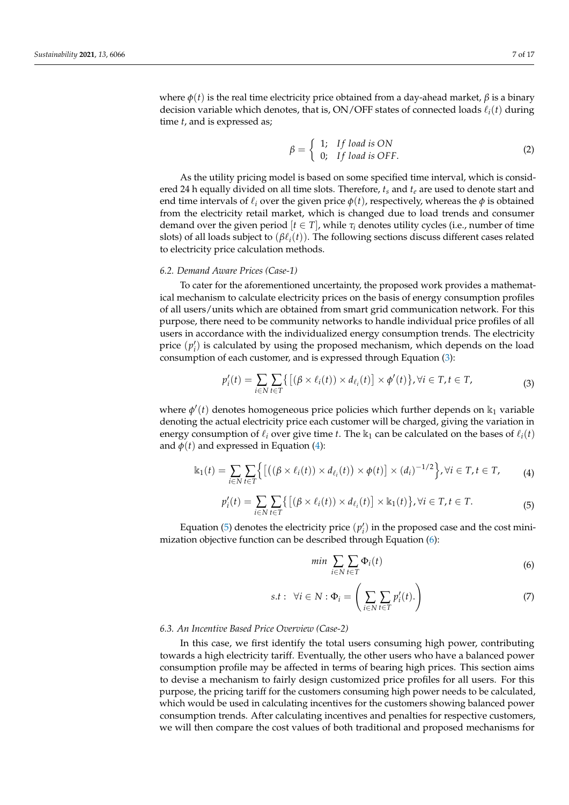where  $φ(t)$  is the real time electricity price obtained from a day-ahead market,  $β$  is a binary decision variable which denotes, that is,  $ON/OFF$  states of connected loads  $\ell_i(t)$  during time *t*, and is expressed as;

$$
\beta = \left\{ \begin{array}{ll} 1; & \text{If load is ON} \\ 0; & \text{If load is OFF.} \end{array} \right. \tag{2}
$$

As the utility pricing model is based on some specified time interval, which is considered 24 h equally divided on all time slots. Therefore, *t<sup>s</sup>* and *t<sup>e</sup>* are used to denote start and end time intervals of  $\ell_i$  over the given price  $\phi(t)$ , respectively, whereas the  $\phi$  is obtained from the electricity retail market, which is changed due to load trends and consumer demand over the given period  $[t \in T]$ , while  $\tau_i$  denotes utility cycles (i.e., number of time slots) of all loads subject to  $(\beta \ell_i(t))$ . The following sections discuss different cases related to electricity price calculation methods.

#### *6.2. Demand Aware Prices (Case-1)*

To cater for the aforementioned uncertainty, the proposed work provides a mathematical mechanism to calculate electricity prices on the basis of energy consumption profiles of all users/units which are obtained from smart grid communication network. For this purpose, there need to be community networks to handle individual price profiles of all users in accordance with the individualized energy consumption trends. The electricity price  $(p'_i)$  is calculated by using the proposed mechanism, which depends on the load consumption of each customer, and is expressed through Equation [\(3\)](#page-6-0):

<span id="page-6-0"></span>
$$
p'_{i}(t) = \sum_{i \in N} \sum_{t \in T} \{ [(\beta \times \ell_{i}(t)) \times d_{\ell_{i}}(t)] \times \phi'(t) \}, \forall i \in T, t \in T,
$$
\n(3)

where  $\phi'(t)$  denotes homogeneous price policies which further depends on k<sub>1</sub> variable denoting the actual electricity price each customer will be charged, giving the variation in energy consumption of  $\ell_i$  over give time *t*. The  $\mathbb{k}_1$  can be calculated on the bases of  $\ell_i(t)$ and  $\phi(t)$  and expressed in Equation [\(4\)](#page-6-1):

<span id="page-6-1"></span>
$$
\mathbb{k}_1(t) = \sum_{i \in N} \sum_{t \in T} \Big\{ \big[ \big( (\beta \times \ell_i(t)) \times d_{\ell_i}(t) \big) \times \phi(t) \big] \times (d_i)^{-1/2} \Big\}, \forall i \in T, t \in T,
$$
 (4)

<span id="page-6-2"></span>
$$
p'_{i}(t) = \sum_{i \in N} \sum_{t \in T} \{ [(\beta \times \ell_{i}(t)) \times d_{\ell_{i}}(t)] \times \mathbb{k}_{1}(t) \}, \forall i \in T, t \in T.
$$
 (5)

Equation [\(5\)](#page-6-2) denotes the electricity price  $(p'_i)$  in the proposed case and the cost minimization objective function can be described through Equation [\(6\)](#page-6-3):

<span id="page-6-3"></span>
$$
\min \sum_{i \in N} \sum_{t \in T} \Phi_i(t) \tag{6}
$$

<span id="page-6-4"></span>
$$
s.t: \forall i \in N : \Phi_i = \left(\sum_{i \in N} \sum_{t \in T} p'_i(t)\right) \tag{7}
$$

## *6.3. An Incentive Based Price Overview (Case-2)*

In this case, we first identify the total users consuming high power, contributing towards a high electricity tariff. Eventually, the other users who have a balanced power consumption profile may be affected in terms of bearing high prices. This section aims to devise a mechanism to fairly design customized price profiles for all users. For this purpose, the pricing tariff for the customers consuming high power needs to be calculated, which would be used in calculating incentives for the customers showing balanced power consumption trends. After calculating incentives and penalties for respective customers, we will then compare the cost values of both traditional and proposed mechanisms for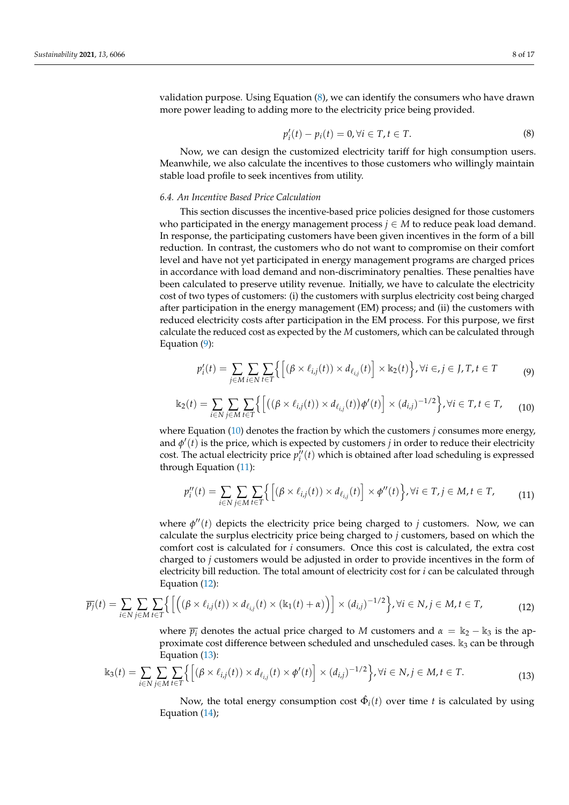validation purpose. Using Equation [\(8\)](#page-7-0), we can identify the consumers who have drawn more power leading to adding more to the electricity price being provided.

<span id="page-7-0"></span>
$$
p'_i(t) - p_i(t) = 0, \forall i \in T, t \in T.
$$
\n(8)

Now, we can design the customized electricity tariff for high consumption users. Meanwhile, we also calculate the incentives to those customers who willingly maintain stable load profile to seek incentives from utility.

## *6.4. An Incentive Based Price Calculation*

This section discusses the incentive-based price policies designed for those customers who participated in the energy management process  $j \in M$  to reduce peak load demand. In response, the participating customers have been given incentives in the form of a bill reduction. In contrast, the customers who do not want to compromise on their comfort level and have not yet participated in energy management programs are charged prices in accordance with load demand and non-discriminatory penalties. These penalties have been calculated to preserve utility revenue. Initially, we have to calculate the electricity cost of two types of customers: (i) the customers with surplus electricity cost being charged after participation in the energy management (EM) process; and (ii) the customers with reduced electricity costs after participation in the EM process. For this purpose, we first calculate the reduced cost as expected by the *M* customers, which can be calculated through Equation [\(9\)](#page-7-1):

<span id="page-7-1"></span>
$$
p_i'(t) = \sum_{j \in M} \sum_{i \in N} \sum_{t \in T} \left\{ \left[ (\beta \times \ell_{i,j}(t)) \times d_{\ell_{i,j}}(t) \right] \times \mathbb{K}_2(t) \right\}, \forall i \in J \in J, T, t \in T
$$
 (9)

<span id="page-7-2"></span>
$$
\mathbb{k}_2(t) = \sum_{i \in \mathbb{N}} \sum_{j \in \mathbb{M}} \sum_{t \in \mathbb{T}} \left\{ \left[ \left( (\beta \times \ell_{i,j}(t)) \times d_{\ell_{i,j}}(t) \right) \phi'(t) \right] \times (d_{i,j})^{-1/2} \right\}, \forall i \in \mathbb{T}, t \in \mathbb{T}, \tag{10}
$$

where Equation  $(10)$  denotes the fraction by which the customers *j* consumes more energy, and  $\phi'(t)$  is the price, which is expected by customers *j* in order to reduce their electricity cost. The actual electricity price  $p_i^{\prime\prime}(t)$  which is obtained after load scheduling is expressed through Equation [\(11\)](#page-7-3):

<span id="page-7-3"></span>
$$
p_i''(t) = \sum_{i \in N} \sum_{j \in M} \sum_{t \in T} \left\{ \left[ (\beta \times \ell_{i,j}(t)) \times d_{\ell_{i,j}}(t) \right] \times \phi''(t) \right\}, \forall i \in T, j \in M, t \in T,
$$
\n(11)

where  $\phi''(t)$  depicts the electricity price being charged to *j* customers. Now, we can calculate the surplus electricity price being charged to *j* customers, based on which the comfort cost is calculated for *i* consumers. Once this cost is calculated, the extra cost charged to *j* customers would be adjusted in order to provide incentives in the form of electricity bill reduction. The total amount of electricity cost for *i* can be calculated through Equation [\(12\)](#page-7-4):

<span id="page-7-4"></span>
$$
\overline{p_j}(t) = \sum_{i \in N} \sum_{j \in M} \sum_{t \in T} \left\{ \left[ \left( (\beta \times \ell_{i,j}(t)) \times d_{\ell_{i,j}}(t) \times (\mathbb{K}_1(t) + \alpha) \right) \right] \times (d_{i,j})^{-1/2} \right\}, \forall i \in N, j \in M, t \in T,
$$
\n(12)

where  $\overline{p_i}$  denotes the actual price charged to *M* customers and  $\alpha = \mathbb{k}_2 - \mathbb{k}_3$  is the approximate cost difference between scheduled and unscheduled cases.  $k_3$  can be through Equation [\(13\)](#page-7-5):

<span id="page-7-5"></span>
$$
\mathbb{k}_{3}(t) = \sum_{i \in N} \sum_{j \in M} \sum_{t \in T} \left\{ \left[ (\beta \times \ell_{i,j}(t)) \times d_{\ell_{i,j}}(t) \times \phi'(t) \right] \times (d_{i,j})^{-1/2} \right\}, \forall i \in N, j \in M, t \in T.
$$
\n(13)

Now, the total energy consumption cost  $\hat{\Phi}_i(t)$  over time  $t$  is calculated by using Equation [\(14\)](#page-8-0);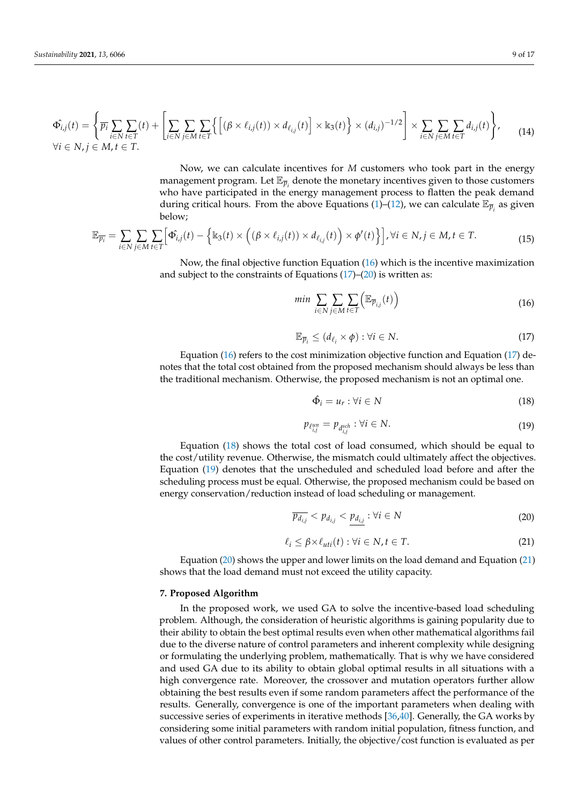<span id="page-8-0"></span>
$$
\Phi_{i,j}(t) = \left\{ \overline{p_i} \sum_{i \in N} \sum_{t \in T} (t) + \left[ \sum_{i \in N} \sum_{j \in M} \sum_{t \in T} \left\{ \left[ (\beta \times \ell_{i,j}(t)) \times d_{\ell_{i,j}}(t) \right] \times \mathbb{K}_3(t) \right\} \times (d_{i,j})^{-1/2} \right] \times \sum_{i \in N} \sum_{j \in M} \sum_{t \in T} d_{i,j}(t) \right\},\tag{14}
$$

Now, we can calculate incentives for *M* customers who took part in the energy management program. Let  $\mathbb{E}_{\overline{p}_i}$  denote the monetary incentives given to those customers who have participated in the energy management process to flatten the peak demand during critical hours. From the above Equations [\(1\)](#page-5-0)–[\(12\)](#page-7-4), we can calculate  $\mathbb{E}_{\overline{p}_i}$  as given below;

<span id="page-8-7"></span>
$$
\mathbb{E}_{\overline{p_i}} = \sum_{i \in N} \sum_{j \in M} \sum_{t \in T} \left[ \hat{\Phi_{i,j}}(t) - \left\{ \mathbb{K}_3(t) \times \left( (\beta \times \ell_{i,j}(t)) \times d_{\ell_{i,j}}(t) \right) \times \phi'(t) \right\} \right], \forall i \in N, j \in M, t \in T.
$$
\n(15)

Now, the final objective function Equation [\(16\)](#page-8-1) which is the incentive maximization and subject to the constraints of Equations  $(17)$ – $(20)$  is written as:

<span id="page-8-1"></span>
$$
\min \sum_{i \in N} \sum_{j \in M} \sum_{t \in T} \Big( \mathbb{E}_{\overline{p}_{i,j}}(t) \Big) \tag{16}
$$

<span id="page-8-2"></span>
$$
\mathbb{E}_{\overline{p}_i} \le (d_{\ell_i} \times \phi) : \forall i \in \mathbb{N}.\tag{17}
$$

Equation [\(16\)](#page-8-1) refers to the cost minimization objective function and Equation [\(17\)](#page-8-2) denotes that the total cost obtained from the proposed mechanism should always be less than the traditional mechanism. Otherwise, the proposed mechanism is not an optimal one.

<span id="page-8-4"></span>
$$
\hat{\Phi}_i = u_r : \forall i \in \mathbb{N} \tag{18}
$$

<span id="page-8-5"></span>
$$
p_{\ell_{i,j}^{un}} = p_{d_{i,j}^{sch}} : \forall i \in N. \tag{19}
$$

Equation [\(18\)](#page-8-4) shows the total cost of load consumed, which should be equal to the cost/utility revenue. Otherwise, the mismatch could ultimately affect the objectives. Equation [\(19\)](#page-8-5) denotes that the unscheduled and scheduled load before and after the scheduling process must be equal. Otherwise, the proposed mechanism could be based on energy conservation/reduction instead of load scheduling or management.

<span id="page-8-3"></span>
$$
\overline{p_{d_{i,j}}} < p_{d_{i,j}} < p_{d_{i,j}} : \forall i \in N \tag{20}
$$

<span id="page-8-6"></span>
$$
\ell_i \le \beta \times \ell_{uti}(t) : \forall i \in N, t \in T. \tag{21}
$$

Equation [\(20\)](#page-8-3) shows the upper and lower limits on the load demand and Equation [\(21\)](#page-8-6) shows that the load demand must not exceed the utility capacity.

# **7. Proposed Algorithm**

In the proposed work, we used GA to solve the incentive-based load scheduling problem. Although, the consideration of heuristic algorithms is gaining popularity due to their ability to obtain the best optimal results even when other mathematical algorithms fail due to the diverse nature of control parameters and inherent complexity while designing or formulating the underlying problem, mathematically. That is why we have considered and used GA due to its ability to obtain global optimal results in all situations with a high convergence rate. Moreover, the crossover and mutation operators further allow obtaining the best results even if some random parameters affect the performance of the results. Generally, convergence is one of the important parameters when dealing with successive series of experiments in iterative methods [\[36,](#page-15-26)[40\]](#page-16-1). Generally, the GA works by considering some initial parameters with random initial population, fitness function, and values of other control parameters. Initially, the objective/cost function is evaluated as per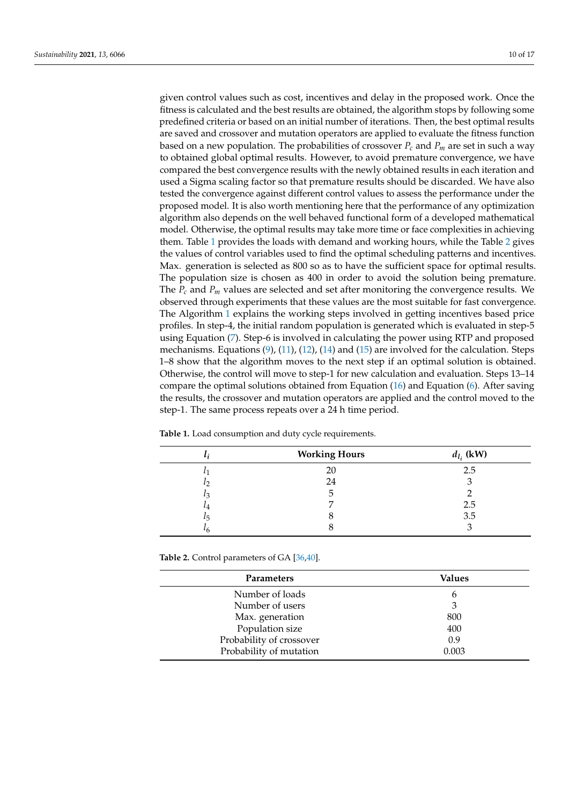given control values such as cost, incentives and delay in the proposed work. Once the fitness is calculated and the best results are obtained, the algorithm stops by following some predefined criteria or based on an initial number of iterations. Then, the best optimal results are saved and crossover and mutation operators are applied to evaluate the fitness function based on a new population. The probabilities of crossover  $P_c$  and  $P_m$  are set in such a way to obtained global optimal results. However, to avoid premature convergence, we have compared the best convergence results with the newly obtained results in each iteration and used a Sigma scaling factor so that premature results should be discarded. We have also tested the convergence against different control values to assess the performance under the proposed model. It is also worth mentioning here that the performance of any optimization algorithm also depends on the well behaved functional form of a developed mathematical model. Otherwise, the optimal results may take more time or face complexities in achieving them. Table [1](#page-9-0) provides the loads with demand and working hours, while the Table [2](#page-9-1) gives the values of control variables used to find the optimal scheduling patterns and incentives. Max. generation is selected as 800 so as to have the sufficient space for optimal results. The population size is chosen as 400 in order to avoid the solution being premature. The *P<sup>c</sup>* and *P<sup>m</sup>* values are selected and set after monitoring the convergence results. We observed through experiments that these values are the most suitable for fast convergence. The Algorithm [1](#page-10-0) explains the working steps involved in getting incentives based price profiles. In step-4, the initial random population is generated which is evaluated in step-5 using Equation [\(7\)](#page-6-4). Step-6 is involved in calculating the power using RTP and proposed mechanisms. Equations  $(9)$ ,  $(11)$ ,  $(12)$ ,  $(14)$  and  $(15)$  are involved for the calculation. Steps 1–8 show that the algorithm moves to the next step if an optimal solution is obtained. Otherwise, the control will move to step-1 for new calculation and evaluation. Steps 13–14 compare the optimal solutions obtained from Equation  $(16)$  and Equation  $(6)$ . After saving the results, the crossover and mutation operators are applied and the control moved to the step-1. The same process repeats over a 24 h time period.

| $\iota_i$ | <b>Working Hours</b> | $d_{l_i}$ (kW) |
|-----------|----------------------|----------------|
| L٦        | 20                   | 2.5            |
| $\iota$   | 24                   |                |
| $l_3$     | د.                   |                |
| $\iota_4$ |                      | 2.5            |
| $\iota_5$ |                      | 3.5            |
| $\iota_6$ |                      |                |

<span id="page-9-0"></span>**Table 1.** Load consumption and duty cycle requirements.

<span id="page-9-1"></span>**Table 2.** Control parameters of GA [\[36,](#page-15-26)[40\]](#page-16-1).

| <b>Parameters</b>        | Values |
|--------------------------|--------|
| Number of loads          | 6      |
| Number of users          | 3      |
| Max. generation          | 800    |
| Population size          | 400    |
| Probability of crossover | 0.9    |
| Probability of mutation  | 0.003  |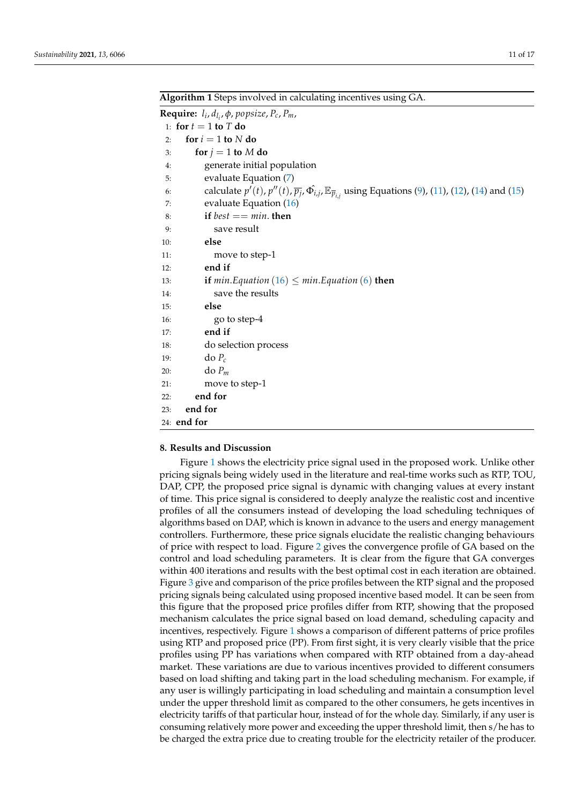<span id="page-10-0"></span>**Algorithm 1** Steps involved in calculating incentives using GA.

|     | <b>Require:</b> $l_i$ , $d_{l_i}$ , $\phi$ , popsize, $P_c$ , $P_m$ ,                                                                                   |  |  |  |
|-----|---------------------------------------------------------------------------------------------------------------------------------------------------------|--|--|--|
|     | 1: for $t = 1$ to T do                                                                                                                                  |  |  |  |
| 2:  | for $i = 1$ to N do                                                                                                                                     |  |  |  |
| 3:  | for $j = 1$ to M do                                                                                                                                     |  |  |  |
| 4:  | generate initial population                                                                                                                             |  |  |  |
| 5:  | evaluate Equation (7)                                                                                                                                   |  |  |  |
| 6:  | calculate $p'(t)$ , $p''(t)$ , $\overline{p}_j$ , $\hat{\Phi}_{i,j}$ , $\mathbb{E}_{\overline{p}_{i,j}}$ using Equations (9), (11), (12), (14) and (15) |  |  |  |
| 7:  | evaluate Equation $(16)$                                                                                                                                |  |  |  |
| 8:  | if $best == min$ . then                                                                                                                                 |  |  |  |
| 9:  | save result                                                                                                                                             |  |  |  |
| 10: | else                                                                                                                                                    |  |  |  |
| 11: | move to step-1                                                                                                                                          |  |  |  |
| 12: | end if                                                                                                                                                  |  |  |  |
| 13: | <b>if</b> min. Equation $(16) \leq min$ . Equation $(6)$ then                                                                                           |  |  |  |
| 14: | save the results                                                                                                                                        |  |  |  |
| 15: | else                                                                                                                                                    |  |  |  |
| 16: | go to step-4                                                                                                                                            |  |  |  |
| 17: | end if                                                                                                                                                  |  |  |  |
| 18: | do selection process                                                                                                                                    |  |  |  |
| 19: | $\text{do } P_c$                                                                                                                                        |  |  |  |
| 20: | $\text{do } P_m$                                                                                                                                        |  |  |  |
| 21: | move to step-1                                                                                                                                          |  |  |  |
| 22: | end for                                                                                                                                                 |  |  |  |
| 23: | end for                                                                                                                                                 |  |  |  |
|     | 24: end for                                                                                                                                             |  |  |  |

#### **8. Results and Discussion**

Figure [1](#page-11-0) shows the electricity price signal used in the proposed work. Unlike other pricing signals being widely used in the literature and real-time works such as RTP, TOU, DAP, CPP, the proposed price signal is dynamic with changing values at every instant of time. This price signal is considered to deeply analyze the realistic cost and incentive profiles of all the consumers instead of developing the load scheduling techniques of algorithms based on DAP, which is known in advance to the users and energy management controllers. Furthermore, these price signals elucidate the realistic changing behaviours of price with respect to load. Figure [2](#page-11-1) gives the convergence profile of GA based on the control and load scheduling parameters. It is clear from the figure that GA converges within 400 iterations and results with the best optimal cost in each iteration are obtained. Figure [3](#page-12-0) give and comparison of the price profiles between the RTP signal and the proposed pricing signals being calculated using proposed incentive based model. It can be seen from this figure that the proposed price profiles differ from RTP, showing that the proposed mechanism calculates the price signal based on load demand, scheduling capacity and incentives, respectively. Figure [1](#page-11-0) shows a comparison of different patterns of price profiles using RTP and proposed price (PP). From first sight, it is very clearly visible that the price profiles using PP has variations when compared with RTP obtained from a day-ahead market. These variations are due to various incentives provided to different consumers based on load shifting and taking part in the load scheduling mechanism. For example, if any user is willingly participating in load scheduling and maintain a consumption level under the upper threshold limit as compared to the other consumers, he gets incentives in electricity tariffs of that particular hour, instead of for the whole day. Similarly, if any user is consuming relatively more power and exceeding the upper threshold limit, then s/he has to be charged the extra price due to creating trouble for the electricity retailer of the producer.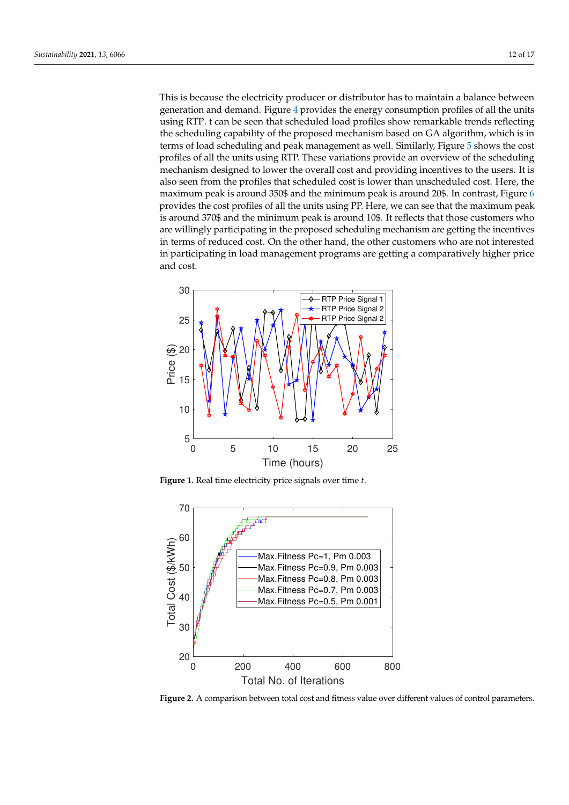This is because the electricity producer or distributor has to maintain a balance between generation and demand. Figure [4](#page-12-1) provides the energy consumption profiles of all the units using RTP. t can be seen that scheduled load profiles show remarkable trends reflecting the scheduling capability of the proposed mechanism based on GA algorithm, which is in terms of load scheduling and peak management as well. Similarly, Figure [5](#page-12-2) shows the cost profiles of all the units using RTP. These variations provide an overview of the scheduling mechanism designed to lower the overall cost and providing incentives to the users. It is also seen from the profiles that scheduled cost is lower than unscheduled cost. Here, the maximum peak is around 350\$ and the minimum peak is around 20\$. In contrast, Figure [6](#page-13-0) provides the cost profiles of all the units using PP. Here, we can see that the maximum peak is around 370\$ and the minimum peak is around 10\$. It reflects that those customers who are willingly participating in the proposed scheduling mechanism are getting the incentives in terms of reduced cost. On the other hand, the other customers who are not interested in participating in load management programs are getting a comparatively higher price and cost.

<span id="page-11-0"></span>

**Figure 1.** Real time electricity price signals over time *t*.

<span id="page-11-1"></span>

Figure 2. A comparison between total cost and fitness value over different values of control parameters.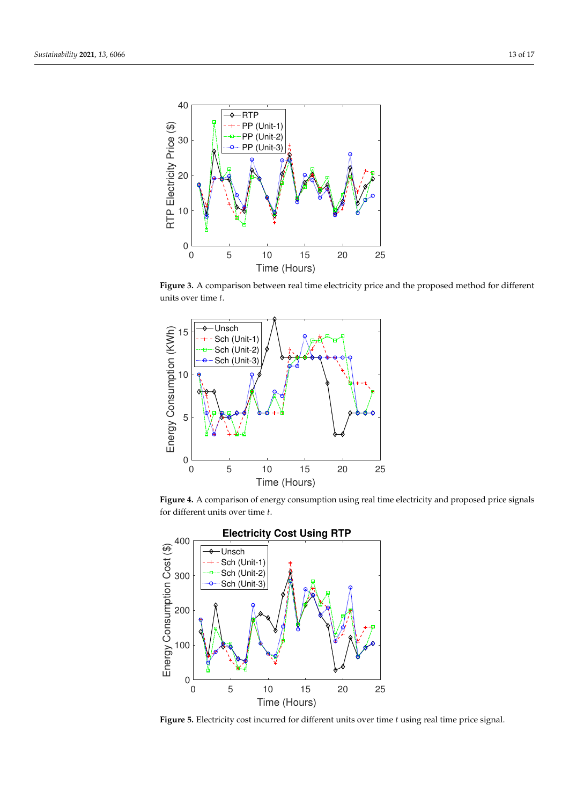<span id="page-12-0"></span>

**Figure 3.** A comparison between real time electricity price and the proposed method for different units over time *t*.

<span id="page-12-1"></span>

**Figure 4.** A comparison of energy consumption using real time electricity and proposed price signals for different units over time *t*.

<span id="page-12-2"></span>

**Figure 5.** Electricity cost incurred for different units over time *t* using real time price signal.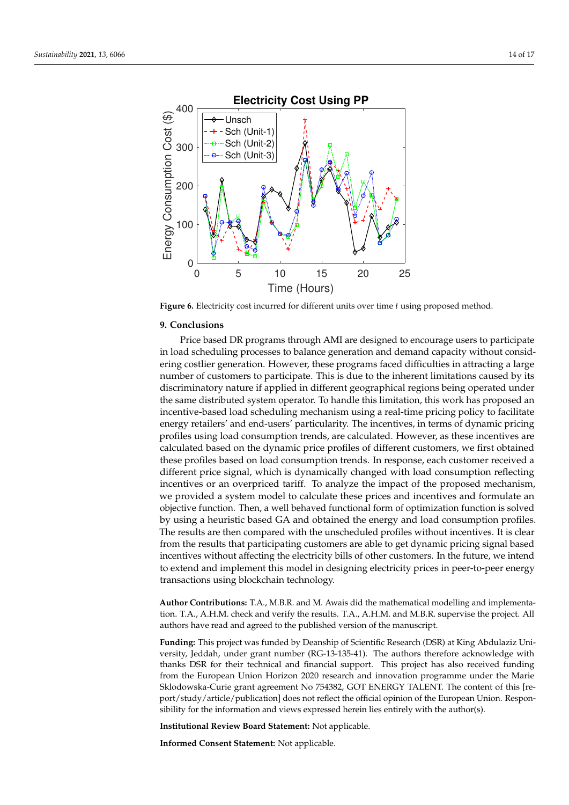<span id="page-13-0"></span>

**Figure 6.** Electricity cost incurred for different units over time *t* using proposed method.

#### **9. Conclusions**

Price based DR programs through AMI are designed to encourage users to participate in load scheduling processes to balance generation and demand capacity without considering costlier generation. However, these programs faced difficulties in attracting a large number of customers to participate. This is due to the inherent limitations caused by its discriminatory nature if applied in different geographical regions being operated under the same distributed system operator. To handle this limitation, this work has proposed an incentive-based load scheduling mechanism using a real-time pricing policy to facilitate energy retailers' and end-users' particularity. The incentives, in terms of dynamic pricing profiles using load consumption trends, are calculated. However, as these incentives are calculated based on the dynamic price profiles of different customers, we first obtained these profiles based on load consumption trends. In response, each customer received a different price signal, which is dynamically changed with load consumption reflecting incentives or an overpriced tariff. To analyze the impact of the proposed mechanism, we provided a system model to calculate these prices and incentives and formulate an objective function. Then, a well behaved functional form of optimization function is solved by using a heuristic based GA and obtained the energy and load consumption profiles. The results are then compared with the unscheduled profiles without incentives. It is clear from the results that participating customers are able to get dynamic pricing signal based incentives without affecting the electricity bills of other customers. In the future, we intend to extend and implement this model in designing electricity prices in peer-to-peer energy transactions using blockchain technology.

**Author Contributions:** T.A., M.B.R. and M. Awais did the mathematical modelling and implementation. T.A., A.H.M. check and verify the results. T.A., A.H.M. and M.B.R. supervise the project. All authors have read and agreed to the published version of the manuscript.

**Funding:** This project was funded by Deanship of Scientific Research (DSR) at King Abdulaziz University, Jeddah, under grant number (RG-13-135-41). The authors therefore acknowledge with thanks DSR for their technical and financial support. This project has also received funding from the European Union Horizon 2020 research and innovation programme under the Marie Sklodowska-Curie grant agreement No 754382, GOT ENERGY TALENT. The content of this [report/study/article/publication] does not reflect the official opinion of the European Union. Responsibility for the information and views expressed herein lies entirely with the author(s).

**Institutional Review Board Statement:** Not applicable.

**Informed Consent Statement:** Not applicable.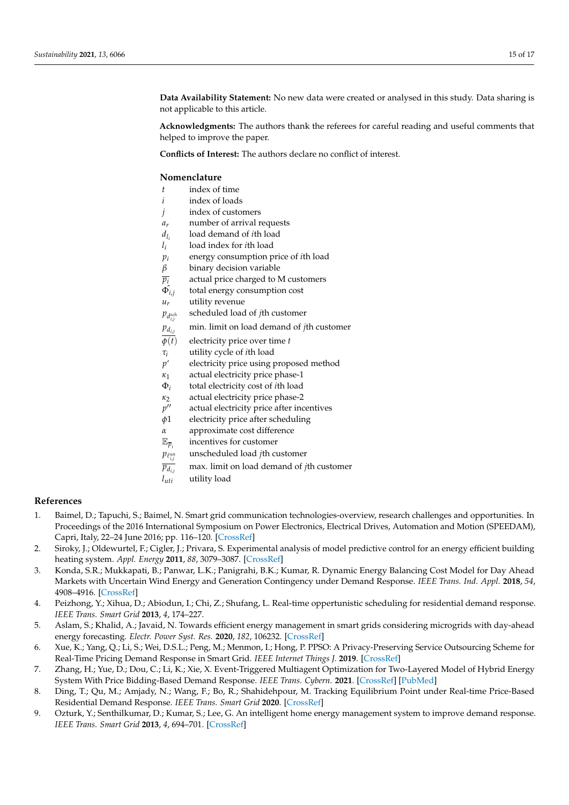**Data Availability Statement:** No new data were created or analysed in this study. Data sharing is not applicable to this article.

**Acknowledgments:** The authors thank the referees for careful reading and useful comments that helped to improve the paper.

**Conflicts of Interest:** The authors declare no conflict of interest.

# **Nomenclature**

- *t* index of time
- *i* index of loads
- *j* index of customers
- *ar* number of arrival requests
- $d_{l_i}$ load demand of *i*th load
- *l i* load index for *i*th load
- *p*<sup>*i*</sup> energy consumption price of *i*th load  $\beta$  binary decision variable
- *binary* decision variable
- $\overline{p_i}$  actual price charged to M customers
- $\hat{\Phi_{i,j}}$ total energy consumption cost
- $u_r$  utility revenue
- $p_{d_{i,j}^{sch}}$ scheduled load of *j*th customer
- $p_{d_{i,j}}$  min. limit on load demand of *j*th customer
- $\overline{\phi(t)}$  electricity price over time *t*
- 
- *τ<sup>i</sup>* utility cycle of *i*th load *electricity price using proposed method*
- *κ*<sup>1</sup> actual electricity price phase-1
- Φ*i* total electricity cost of *i*th load
- *κ*<sup>2</sup> actual electricity price phase-2
- *p* actual electricity price after incentives
- *φ*1 electricity price after scheduling
- *α* approximate cost difference
- $\mathbb{E}_{\overline{p}_i}$ incentives for customer
- $p_{\ell_{i,j}^{un}}$ unscheduled load *j*th customer
- $\overline{p_{d_{ij}}}$  max. limit on load demand of *j*th customer
- *luti* utility load

# **References**

- <span id="page-14-0"></span>1. Baimel, D.; Tapuchi, S.; Baimel, N. Smart grid communication technologies-overview, research challenges and opportunities. In Proceedings of the 2016 International Symposium on Power Electronics, Electrical Drives, Automation and Motion (SPEEDAM), Capri, Italy, 22–24 June 2016; pp. 116–120. [\[CrossRef\]](http://doi.org/10.1109/SPEEDAM.2016.7526014)
- <span id="page-14-1"></span>2. Siroky, J.; Oldewurtel, F.; Cigler, J.; Privara, S. Experimental analysis of model predictive control for an energy efficient building heating system. *Appl. Energy* **2011**, *88*, 3079–3087. [\[CrossRef\]](http://dx.doi.org/10.1016/j.apenergy.2011.03.009)
- <span id="page-14-2"></span>3. Konda, S.R.; Mukkapati, B.; Panwar, L.K.; Panigrahi, B.K.; Kumar, R. Dynamic Energy Balancing Cost Model for Day Ahead Markets with Uncertain Wind Energy and Generation Contingency under Demand Response. *IEEE Trans. Ind. Appl.* **2018**, *54*, 4908–4916. [\[CrossRef\]](http://dx.doi.org/10.1109/TIA.2018.2844363)
- <span id="page-14-3"></span>4. Peizhong, Y.; Xihua, D.; Abiodun, I.; Chi, Z.; Shufang, L. Real-time oppertunistic scheduling for residential demand response. *IEEE Trans. Smart Grid* **2013**, *4*, 174–227.
- <span id="page-14-4"></span>5. Aslam, S.; Khalid, A.; Javaid, N. Towards efficient energy management in smart grids considering microgrids with day-ahead energy forecasting. *Electr. Power Syst. Res.* **2020**, *182*, 106232. [\[CrossRef\]](http://dx.doi.org/10.1016/j.epsr.2020.106232)
- <span id="page-14-5"></span>6. Xue, K.; Yang, Q.; Li, S.; Wei, D.S.L.; Peng, M.; Menmon, I.; Hong, P. PPSO: A Privacy-Preserving Service Outsourcing Scheme for Real-Time Pricing Demand Response in Smart Grid. *IEEE Internet Things J.* **2019**. [\[CrossRef\]](http://dx.doi.org/10.1109/JIOT.2018.2870873)
- <span id="page-14-6"></span>7. Zhang, H.; Yue, D.; Dou, C.; Li, K.; Xie, X. Event-Triggered Multiagent Optimization for Two-Layered Model of Hybrid Energy System With Price Bidding-Based Demand Response. *IEEE Trans. Cybern.* **2021**. [\[CrossRef\]](http://dx.doi.org/10.1109/TCYB.2019.2931706) [\[PubMed\]](http://www.ncbi.nlm.nih.gov/pubmed/31478881)
- <span id="page-14-7"></span>8. Ding, T.; Qu, M.; Amjady, N.; Wang, F.; Bo, R.; Shahidehpour, M. Tracking Equilibrium Point under Real-time Price-Based Residential Demand Response. *IEEE Trans. Smart Grid* **2020**. [\[CrossRef\]](http://dx.doi.org/10.1109/TSG.2020.3040084)
- <span id="page-14-8"></span>9. Ozturk, Y.; Senthilkumar, D.; Kumar, S.; Lee, G. An intelligent home energy management system to improve demand response. *IEEE Trans. Smart Grid* **2013**, *4*, 694–701. [\[CrossRef\]](http://dx.doi.org/10.1109/TSG.2012.2235088)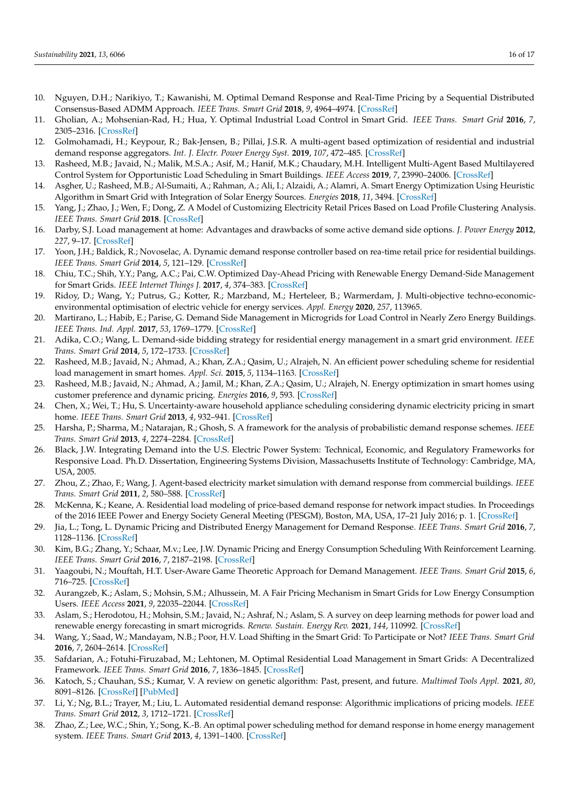- <span id="page-15-0"></span>10. Nguyen, D.H.; Narikiyo, T.; Kawanishi, M. Optimal Demand Response and Real-Time Pricing by a Sequential Distributed Consensus-Based ADMM Approach. *IEEE Trans. Smart Grid* **2018**, *9*, 4964–4974. [\[CrossRef\]](http://dx.doi.org/10.1109/TSG.2017.2676179)
- <span id="page-15-1"></span>11. Gholian, A.; Mohsenian-Rad, H.; Hua, Y. Optimal Industrial Load Control in Smart Grid. *IEEE Trans. Smart Grid* **2016**, *7*, 2305–2316. [\[CrossRef\]](http://dx.doi.org/10.1109/TSG.2015.2468577)
- <span id="page-15-2"></span>12. Golmohamadi, H.; Keypour, R.; Bak-Jensen, B.; Pillai, J.S.R. A multi-agent based optimization of residential and industrial demand response aggregators. *Int. J. Electr. Power Energy Syst.* **2019**, *107*, 472–485. [\[CrossRef\]](http://dx.doi.org/10.1016/j.ijepes.2018.12.020)
- <span id="page-15-3"></span>13. Rasheed, M.B.; Javaid, N.; Malik, M.S.A.; Asif, M.; Hanif, M.K.; Chaudary, M.H. Intelligent Multi-Agent Based Multilayered Control System for Opportunistic Load Scheduling in Smart Buildings. *IEEE Access* **2019**, *7*, 23990–24006. [\[CrossRef\]](http://dx.doi.org/10.1109/ACCESS.2019.2900049)
- <span id="page-15-4"></span>14. Asgher, U.; Rasheed, M.B.; Al-Sumaiti, A.; Rahman, A.; Ali, I.; Alzaidi, A.; Alamri, A. Smart Energy Optimization Using Heuristic Algorithm in Smart Grid with Integration of Solar Energy Sources. *Energies* **2018**, *11*, 3494. [\[CrossRef\]](http://dx.doi.org/10.3390/en11123494)
- <span id="page-15-5"></span>15. Yang, J.; Zhao, J.; Wen, F.; Dong, Z. A Model of Customizing Electricity Retail Prices Based on Load Profile Clustering Analysis. *IEEE Trans. Smart Grid* **2018**. [\[CrossRef\]](http://dx.doi.org/10.1109/TSG.2018.2825335)
- <span id="page-15-6"></span>16. Darby, S.J. Load management at home: Advantages and drawbacks of some active demand side options. *J. Power Energy* **2012**, *227*, 9–17. [\[CrossRef\]](http://dx.doi.org/10.1177/0957650912464623)
- <span id="page-15-7"></span>17. Yoon, J.H.; Baldick, R.; Novoselac, A. Dynamic demand response controller based on rea-time retail price for residential buildings. *IEEE Trans. Smart Grid* **2014**, *5*, 121–129. [\[CrossRef\]](http://dx.doi.org/10.1109/TSG.2013.2264970)
- <span id="page-15-8"></span>18. Chiu, T.C.; Shih, Y.Y.; Pang, A.C.; Pai, C.W. Optimized Day-Ahead Pricing with Renewable Energy Demand-Side Management for Smart Grids. *IEEE Internet Things J.* **2017**, *4*, 374–383. [\[CrossRef\]](http://dx.doi.org/10.1109/JIOT.2016.2556006)
- <span id="page-15-9"></span>19. Ridoy, D.; Wang, Y.; Putrus, G.; Kotter, R.; Marzband, M.; Herteleer, B.; Warmerdam, J. Multi-objective techno-economicenvironmental optimisation of electric vehicle for energy services. *Appl. Energy* **2020**, *257*, 113965.
- <span id="page-15-10"></span>20. Martirano, L.; Habib, E.; Parise, G. Demand Side Management in Microgrids for Load Control in Nearly Zero Energy Buildings. *IEEE Trans. Ind. Appl.* **2017**, *53*, 1769–1779. [\[CrossRef\]](http://dx.doi.org/10.1109/TIA.2017.2672918)
- <span id="page-15-11"></span>21. Adika, C.O.; Wang, L. Demand-side bidding strategy for residential energy management in a smart grid environment. *IEEE Trans. Smart Grid* **2014**, *5*, 172–1733. [\[CrossRef\]](http://dx.doi.org/10.1109/TSG.2014.2303096)
- <span id="page-15-12"></span>22. Rasheed, M.B.; Javaid, N.; Ahmad, A.; Khan, Z.A.; Qasim, U.; Alrajeh, N. An efficient power scheduling scheme for residential load management in smart homes. *Appl. Sci.* **2015**, *5*, 1134–1163. [\[CrossRef\]](http://dx.doi.org/10.3390/app5041134)
- <span id="page-15-13"></span>23. Rasheed, M.B.; Javaid, N.; Ahmad, A.; Jamil, M.; Khan, Z.A.; Qasim, U.; Alrajeh, N. Energy optimization in smart homes using customer preference and dynamic pricing. *Energies* **2016**, *9*, 593. [\[CrossRef\]](http://dx.doi.org/10.3390/en9080593)
- <span id="page-15-14"></span>24. Chen, X.; Wei, T.; Hu, S. Uncertainty-aware household appliance scheduling considering dynamic electricity pricing in smart home. *IEEE Trans. Smart Grid* **2013**, *4*, 932–941. [\[CrossRef\]](http://dx.doi.org/10.1109/TSG.2012.2226065)
- <span id="page-15-15"></span>25. Harsha, P.; Sharma, M.; Natarajan, R.; Ghosh, S. A framework for the analysis of probabilistic demand response schemes. *IEEE Trans. Smart Grid* **2013**, *4*, 2274–2284. [\[CrossRef\]](http://dx.doi.org/10.1109/TSG.2013.2278238)
- <span id="page-15-16"></span>26. Black, J.W. Integrating Demand into the U.S. Electric Power System: Technical, Economic, and Regulatory Frameworks for Responsive Load. Ph.D. Dissertation, Engineering Systems Division, Massachusetts Institute of Technology: Cambridge, MA, USA, 2005.
- <span id="page-15-17"></span>27. Zhou, Z.; Zhao, F.; Wang, J. Agent-based electricity market simulation with demand response from commercial buildings. *IEEE Trans. Smart Grid* **2011**, *2*, 580–588. [\[CrossRef\]](http://dx.doi.org/10.1109/TSG.2011.2168244)
- <span id="page-15-18"></span>28. McKenna, K.; Keane, A. Residential load modeling of price-based demand response for network impact studies. In Proceedings of the 2016 IEEE Power and Energy Society General Meeting (PESGM), Boston, MA, USA, 17–21 July 2016; p. 1. [\[CrossRef\]](http://dx.doi.org/10.1109/PESGM.2016.7741224)
- <span id="page-15-19"></span>29. Jia, L.; Tong, L. Dynamic Pricing and Distributed Energy Management for Demand Response. *IEEE Trans. Smart Grid* **2016**, *7*, 1128–1136. [\[CrossRef\]](http://dx.doi.org/10.1109/TSG.2016.2515641)
- <span id="page-15-20"></span>30. Kim, B.G.; Zhang, Y.; Schaar, M.v.; Lee, J.W. Dynamic Pricing and Energy Consumption Scheduling With Reinforcement Learning. *IEEE Trans. Smart Grid* **2016**, *7*, 2187–2198. [\[CrossRef\]](http://dx.doi.org/10.1109/TSG.2015.2495145)
- <span id="page-15-21"></span>31. Yaagoubi, N.; Mouftah, H.T. User-Aware Game Theoretic Approach for Demand Management. *IEEE Trans. Smart Grid* **2015**, *6*, 716–725. [\[CrossRef\]](http://dx.doi.org/10.1109/TSG.2014.2363098)
- <span id="page-15-22"></span>32. Aurangzeb, K.; Aslam, S.; Mohsin, S.M.; Alhussein, M. A Fair Pricing Mechanism in Smart Grids for Low Energy Consumption Users. *IEEE Access* **2021**, *9*, 22035–22044. [\[CrossRef\]](http://dx.doi.org/10.1109/ACCESS.2021.3056035)
- <span id="page-15-23"></span>33. Aslam, S.; Herodotou, H.; Mohsin, S.M.; Javaid, N.; Ashraf, N.; Aslam, S. A survey on deep learning methods for power load and renewable energy forecasting in smart microgrids. *Renew. Sustain. Energy Rev.* **2021**, *144*, 110992. [\[CrossRef\]](http://dx.doi.org/10.1016/j.rser.2021.110992)
- <span id="page-15-24"></span>34. Wang, Y.; Saad, W.; Mandayam, N.B.; Poor, H.V. Load Shifting in the Smart Grid: To Participate or Not? *IEEE Trans. Smart Grid* **2016**, *7*, 2604–2614. [\[CrossRef\]](http://dx.doi.org/10.1109/TSG.2015.2483522)
- <span id="page-15-25"></span>35. Safdarian, A.; Fotuhi-Firuzabad, M.; Lehtonen, M. Optimal Residential Load Management in Smart Grids: A Decentralized Framework. *IEEE Trans. Smart Grid* **2016**, *7*, 1836–1845. [\[CrossRef\]](http://dx.doi.org/10.1109/TSG.2015.2459753)
- <span id="page-15-26"></span>36. Katoch, S.; Chauhan, S.S.; Kumar, V. A review on genetic algorithm: Past, present, and future. *Multimed Tools Appl.* **2021**, *80*, 8091–8126. [\[CrossRef\]](http://dx.doi.org/10.1007/s11042-020-10139-6) [\[PubMed\]](http://www.ncbi.nlm.nih.gov/pubmed/33162782)
- <span id="page-15-27"></span>37. Li, Y.; Ng, B.L.; Trayer, M.; Liu, L. Automated residential demand response: Algorithmic implications of pricing models. *IEEE Trans. Smart Grid* **2012**, *3*, 1712–1721. [\[CrossRef\]](http://dx.doi.org/10.1109/TSG.2012.2218262)
- <span id="page-15-28"></span>38. Zhao, Z.; Lee, W.C.; Shin, Y.; Song, K.-B. An optimal power scheduling method for demand response in home energy management system. *IEEE Trans. Smart Grid* **2013**, *4*, 1391–1400. [\[CrossRef\]](http://dx.doi.org/10.1109/TSG.2013.2251018)